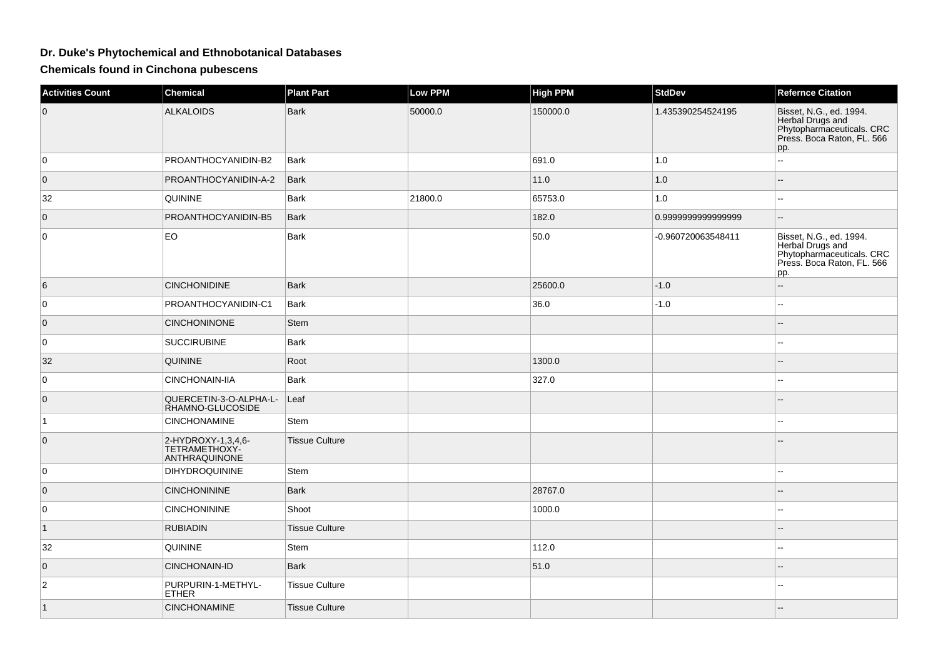## **Dr. Duke's Phytochemical and Ethnobotanical Databases**

**Chemicals found in Cinchona pubescens**

| <b>Activities Count</b> | <b>Chemical</b>                                      | <b>Plant Part</b>     | <b>Low PPM</b> | <b>High PPM</b> | <b>StdDev</b>      | <b>Refernce Citation</b>                                                                                      |
|-------------------------|------------------------------------------------------|-----------------------|----------------|-----------------|--------------------|---------------------------------------------------------------------------------------------------------------|
| $\overline{0}$          | <b>ALKALOIDS</b>                                     | <b>Bark</b>           | 50000.0        | 150000.0        | 1.435390254524195  | Bisset, N.G., ed. 1994.<br>Herbal Drugs and<br>Phytopharmaceuticals. CRC<br>Press. Boca Raton, FL. 566<br>pp. |
| 0                       | PROANTHOCYANIDIN-B2                                  | Bark                  |                | 691.0           | 1.0                | Ξ.                                                                                                            |
| $\overline{0}$          | PROANTHOCYANIDIN-A-2                                 | Bark                  |                | 11.0            | 1.0                | $\overline{a}$                                                                                                |
| 32                      | <b>QUININE</b>                                       | Bark                  | 21800.0        | 65753.0         | 1.0                |                                                                                                               |
| $\mathbf 0$             | PROANTHOCYANIDIN-B5                                  | Bark                  |                | 182.0           | 0.9999999999999999 | $\overline{a}$                                                                                                |
| 0                       | <b>EO</b>                                            | <b>Bark</b>           |                | 50.0            | -0.960720063548411 | Bisset, N.G., ed. 1994.<br>Herbal Drugs and<br>Phytopharmaceuticals. CRC<br>Press. Boca Raton, FL. 566<br>pp. |
| 6                       | <b>CINCHONIDINE</b>                                  | <b>Bark</b>           |                | 25600.0         | $-1.0$             | $\overline{a}$                                                                                                |
| 0                       | PROANTHOCYANIDIN-C1                                  | <b>Bark</b>           |                | 36.0            | $-1.0$             | 44                                                                                                            |
| $\overline{0}$          | <b>CINCHONINONE</b>                                  | <b>Stem</b>           |                |                 |                    |                                                                                                               |
| 0                       | <b>SUCCIRUBINE</b>                                   | <b>Bark</b>           |                |                 |                    | --                                                                                                            |
| 32                      | <b>QUININE</b>                                       | Root                  |                | 1300.0          |                    |                                                                                                               |
| $\mathbf 0$             | CINCHONAIN-IIA                                       | Bark                  |                | 327.0           |                    | $\sim$                                                                                                        |
| $\overline{0}$          | QUERCETIN-3-O-ALPHA-L-<br>RHAMNO-GLUCOSIDE           | Leaf                  |                |                 |                    |                                                                                                               |
| $\vert$ 1               | <b>CINCHONAMINE</b>                                  | Stem                  |                |                 |                    |                                                                                                               |
| $\mathbf 0$             | 2-HYDROXY-1,3,4,6-<br>TETRAMETHOXY-<br>ANTHRAQUINONE | <b>Tissue Culture</b> |                |                 |                    |                                                                                                               |
| $\mathbf 0$             | <b>DIHYDROQUININE</b>                                | Stem                  |                |                 |                    |                                                                                                               |
| $\overline{0}$          | <b>CINCHONININE</b>                                  | Bark                  |                | 28767.0         |                    |                                                                                                               |
| 0                       | <b>CINCHONININE</b>                                  | Shoot                 |                | 1000.0          |                    |                                                                                                               |
| $\vert$ 1               | <b>RUBIADIN</b>                                      | <b>Tissue Culture</b> |                |                 |                    |                                                                                                               |
| 32                      | QUININE                                              | Stem                  |                | 112.0           |                    | $\sim$                                                                                                        |
| $\mathbf 0$             | CINCHONAIN-ID                                        | <b>Bark</b>           |                | 51.0            |                    |                                                                                                               |
| $\overline{c}$          | PURPURIN-1-METHYL-<br><b>ETHER</b>                   | <b>Tissue Culture</b> |                |                 |                    |                                                                                                               |
| $\vert$ 1               | <b>CINCHONAMINE</b>                                  | <b>Tissue Culture</b> |                |                 |                    |                                                                                                               |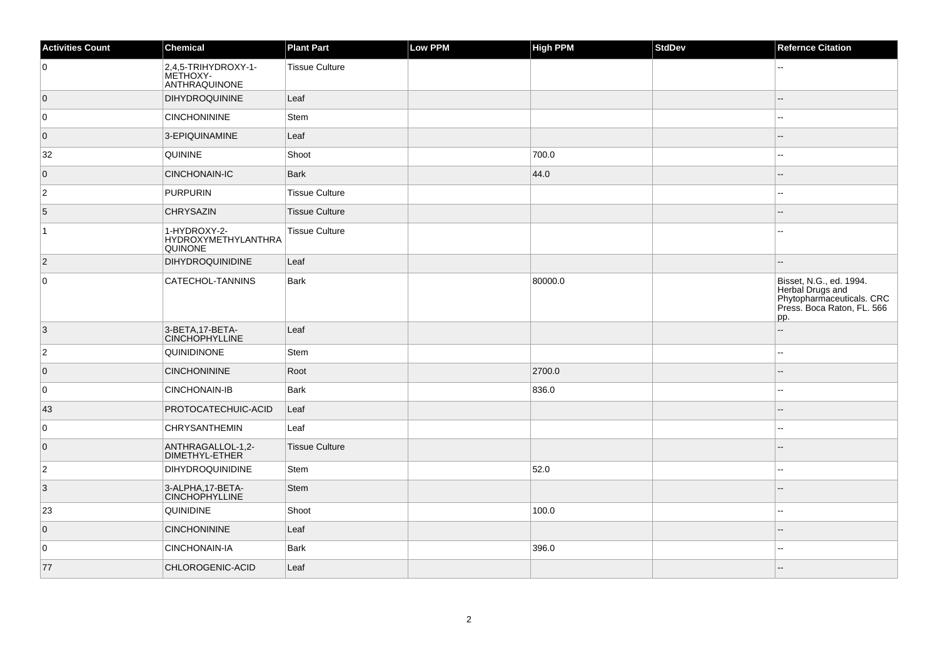| <b>Activities Count</b> | Chemical                                              | <b>Plant Part</b>     | Low PPM | <b>High PPM</b> | <b>StdDev</b> | <b>Refernce Citation</b>                                                                                      |
|-------------------------|-------------------------------------------------------|-----------------------|---------|-----------------|---------------|---------------------------------------------------------------------------------------------------------------|
| 0                       | 2,4,5-TRIHYDROXY-1-<br>METHOXY-<br>ANTHRAQUINONE      | <b>Tissue Culture</b> |         |                 |               |                                                                                                               |
| $\overline{0}$          | <b>DIHYDROQUININE</b>                                 | Leaf                  |         |                 |               |                                                                                                               |
| 0                       | <b>CINCHONININE</b>                                   | Stem                  |         |                 |               |                                                                                                               |
| $\overline{0}$          | 3-EPIQUINAMINE                                        | Leaf                  |         |                 |               |                                                                                                               |
| 32                      | QUININE                                               | Shoot                 |         | 700.0           |               |                                                                                                               |
| $\overline{0}$          | <b>CINCHONAIN-IC</b>                                  | <b>Bark</b>           |         | 44.0            |               |                                                                                                               |
| $\overline{2}$          | PURPURIN                                              | <b>Tissue Culture</b> |         |                 |               | --                                                                                                            |
| 5                       | <b>CHRYSAZIN</b>                                      | <b>Tissue Culture</b> |         |                 |               | Ξ.                                                                                                            |
| $\vert$ 1               | 1-HYDROXY-2-<br><b>HYDROXYMETHYLANTHRA</b><br>QUINONE | <b>Tissue Culture</b> |         |                 |               |                                                                                                               |
| $\overline{2}$          | <b>DIHYDROQUINIDINE</b>                               | Leaf                  |         |                 |               |                                                                                                               |
| $\mathsf 0$             | CATECHOL-TANNINS                                      | <b>Bark</b>           |         | 80000.0         |               | Bisset, N.G., ed. 1994.<br>Herbal Drugs and<br>Phytopharmaceuticals. CRC<br>Press. Boca Raton, FL. 566<br>pp. |
| 3                       | 3-BETA, 17-BETA-<br><b>CINCHOPHYLLINE</b>             | Leaf                  |         |                 |               | $-$                                                                                                           |
| $\overline{2}$          | <b>QUINIDINONE</b>                                    | Stem                  |         |                 |               | --                                                                                                            |
| $\overline{0}$          | <b>CINCHONININE</b>                                   | Root                  |         | 2700.0          |               |                                                                                                               |
| 0                       | <b>CINCHONAIN-IB</b>                                  | <b>Bark</b>           |         | 836.0           |               | $\sim$                                                                                                        |
| 43                      | PROTOCATECHUIC-ACID                                   | Leaf                  |         |                 |               |                                                                                                               |
| 0                       | <b>CHRYSANTHEMIN</b>                                  | Leaf                  |         |                 |               |                                                                                                               |
| $\overline{0}$          | ANTHRAGALLOL-1,2-<br>DIMETHYL-ETHER                   | <b>Tissue Culture</b> |         |                 |               |                                                                                                               |
| $\overline{2}$          | <b>DIHYDROQUINIDINE</b>                               | Stem                  |         | 52.0            |               | $\overline{a}$                                                                                                |
| $ 3\rangle$             | 3-ALPHA, 17-BETA-<br><b>CINCHOPHYLLINE</b>            | <b>Stem</b>           |         |                 |               |                                                                                                               |
| 23                      | QUINIDINE                                             | Shoot                 |         | 100.0           |               | --                                                                                                            |
| $\overline{0}$          | <b>CINCHONININE</b>                                   | Leaf                  |         |                 |               |                                                                                                               |
| 0                       | <b>CINCHONAIN-IA</b>                                  | Bark                  |         | 396.0           |               | $\sim$                                                                                                        |
| 77                      | CHLOROGENIC-ACID                                      | Leaf                  |         |                 |               |                                                                                                               |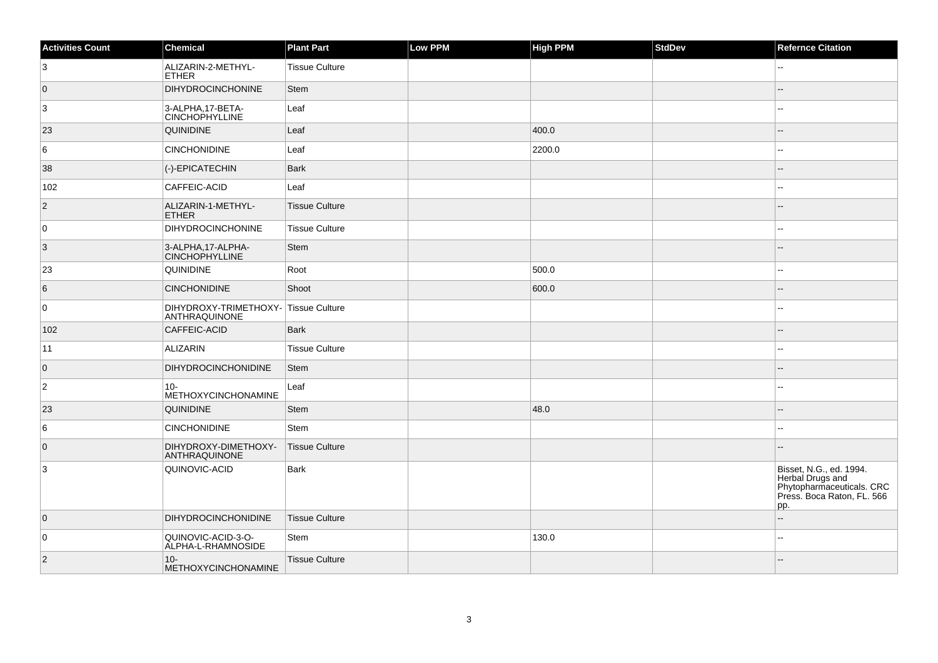| <b>Activities Count</b> | Chemical                                              | <b>Plant Part</b>     | Low PPM | <b>High PPM</b> | <b>StdDev</b> | <b>Refernce Citation</b>                                                                                      |
|-------------------------|-------------------------------------------------------|-----------------------|---------|-----------------|---------------|---------------------------------------------------------------------------------------------------------------|
| 3                       | ALIZARIN-2-METHYL-<br><b>ETHER</b>                    | <b>Tissue Culture</b> |         |                 |               |                                                                                                               |
| $\overline{0}$          | <b>DIHYDROCINCHONINE</b>                              | <b>Stem</b>           |         |                 |               |                                                                                                               |
| 3                       | 3-ALPHA, 17-BETA-<br><b>CINCHOPHYLLINE</b>            | Leaf                  |         |                 |               |                                                                                                               |
| 23                      | <b>QUINIDINE</b>                                      | Leaf                  |         | 400.0           |               |                                                                                                               |
| 6                       | <b>CINCHONIDINE</b>                                   | Leaf                  |         | 2200.0          |               | ۵.                                                                                                            |
| 38                      | (-)-EPICATECHIN                                       | <b>Bark</b>           |         |                 |               |                                                                                                               |
| 102                     | <b>CAFFEIC-ACID</b>                                   | Leaf                  |         |                 |               |                                                                                                               |
| $\overline{2}$          | ALIZARIN-1-METHYL-<br><b>ETHER</b>                    | Tissue Culture        |         |                 |               |                                                                                                               |
| 0                       | <b>DIHYDROCINCHONINE</b>                              | <b>Tissue Culture</b> |         |                 |               | $\overline{a}$                                                                                                |
| $\vert$ 3               | 3-ALPHA, 17-ALPHA-<br><b>CINCHOPHYLLINE</b>           | Stem                  |         |                 |               |                                                                                                               |
| 23                      | QUINIDINE                                             | Root                  |         | 500.0           |               |                                                                                                               |
| 6                       | <b>CINCHONIDINE</b>                                   | Shoot                 |         | 600.0           |               |                                                                                                               |
| $\overline{0}$          | DIHYDROXY-TRIMETHOXY- Tissue Culture<br>ANTHRAQUINONE |                       |         |                 |               |                                                                                                               |
| 102                     | <b>CAFFEIC-ACID</b>                                   | <b>Bark</b>           |         |                 |               |                                                                                                               |
| 11                      | ALIZARIN                                              | <b>Tissue Culture</b> |         |                 |               |                                                                                                               |
| $\overline{0}$          | <b>DIHYDROCINCHONIDINE</b>                            | Stem                  |         |                 |               |                                                                                                               |
| 2                       | $10 -$<br>METHOXYCINCHONAMINE                         | Leaf                  |         |                 |               |                                                                                                               |
| 23                      | <b>QUINIDINE</b>                                      | <b>Stem</b>           |         | 48.0            |               |                                                                                                               |
| 6                       | <b>CINCHONIDINE</b>                                   | Stem                  |         |                 |               |                                                                                                               |
| $\overline{0}$          | DIHYDROXY-DIMETHOXY-<br>ANTHRAQUINONE                 | <b>Tissue Culture</b> |         |                 |               |                                                                                                               |
| 3                       | QUINOVIC-ACID                                         | <b>Bark</b>           |         |                 |               | Bisset, N.G., ed. 1994.<br>Herbal Drugs and<br>Phytopharmaceuticals. CRC<br>Press. Boca Raton, FL. 566<br>pp. |
| $\overline{0}$          | <b>DIHYDROCINCHONIDINE</b>                            | <b>Tissue Culture</b> |         |                 |               |                                                                                                               |
| 0                       | QUINOVIC-ACID-3-O-<br>ALPHA-L-RHAMNOSIDE              | Stem                  |         | 130.0           |               | ۵۵                                                                                                            |
| $\overline{2}$          | $10 -$<br>METHOXYCINCHONAMINE                         | <b>Tissue Culture</b> |         |                 |               |                                                                                                               |